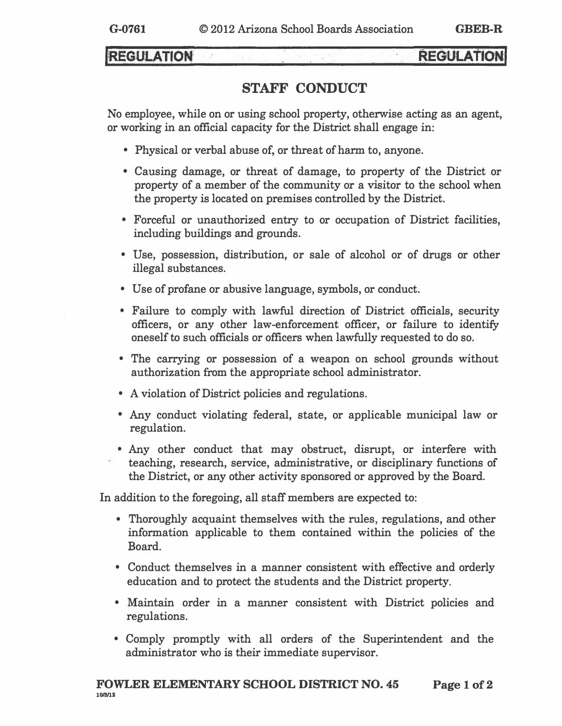# **REGULATION**

# **REGULATION**

# **STAFF CONDUCT**

**No employee, while on or using school property, otherwise acting as an agent, or working in an official capacity for the District shall engage in:** 

- **• Physical or verbal abuse of, or threat of harm to, anyone.**
- **• Causing damage, or threat of damage, to property of the District or property of a member of the community or a visitor to the school when the property is located on premises controlled by the District.**
- **• Forceful or unauthorized entry to or occupation of District facilities, including buildings and grounds.**
- **• Use, possession, distribution, or sale of alcohol or of drugs or other illegal substances.**
- **• Use of profane or abusive language, symbols, or conduct.**
- **• Failure to comply with lawful direction of District officials, security officers, or any other law-enforcement officer, or failure to identify oneself to such officials or officers when lawfully requested to do so.**
- **• The carrying or possession of a weapon on school grounds without authorization from the appropriate school administrator.**
- **• A violation of District policies and regulations.**
- **• Any conduct violating federal, state, or applicable municipal law or r egulation.**
- **• Any other conduct that may obstruct, disrupt, or interfere with t eaching, research, service, administrative, or disciplinary functions of the District, or any other activity sponsored or approved by the Board.**

**In addition to the foregoing, all staff members are expected to:** 

- **• Thoroughly acquaint themselves with the rules, regulations, and other information applicable to them contained within the policies of the Board.**
- **• Conduct themselves in a manner consistent with effective and orderly education and to protect the students and the District property.**
- **• Maintain order in a manner consistent with District policies and regulations.**
- **• Comply promptly with all orders of the Superintendent and the administrator who is their immediate supervisor.**